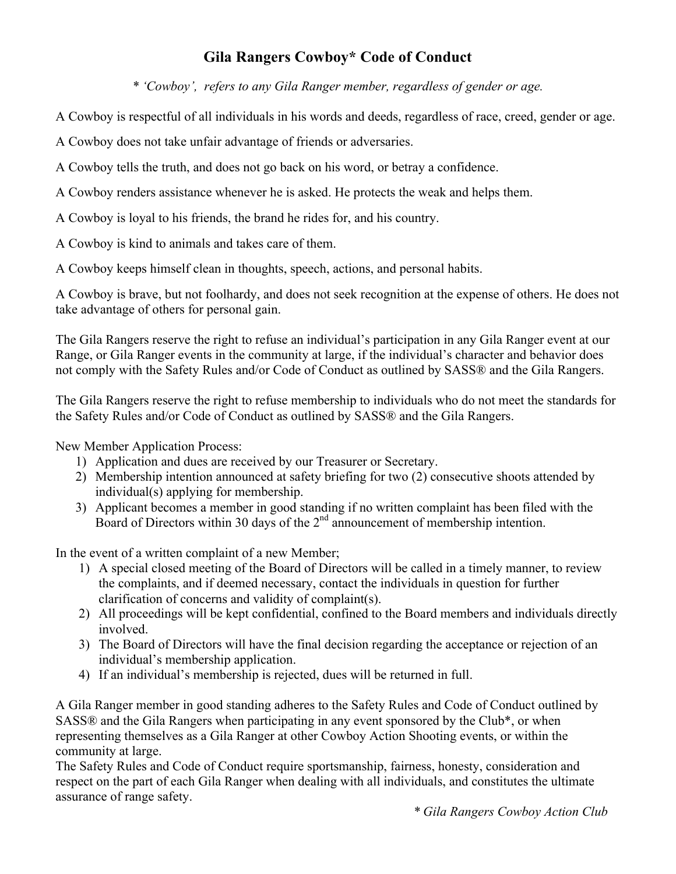## **Gila Rangers Cowboy\* Code of Conduct**

*\* 'Cowboy', refers to any Gila Ranger member, regardless of gender or age.*

A Cowboy is respectful of all individuals in his words and deeds, regardless of race, creed, gender or age.

A Cowboy does not take unfair advantage of friends or adversaries.

A Cowboy tells the truth, and does not go back on his word, or betray a confidence.

A Cowboy renders assistance whenever he is asked. He protects the weak and helps them.

A Cowboy is loyal to his friends, the brand he rides for, and his country.

A Cowboy is kind to animals and takes care of them.

A Cowboy keeps himself clean in thoughts, speech, actions, and personal habits.

A Cowboy is brave, but not foolhardy, and does not seek recognition at the expense of others. He does not take advantage of others for personal gain.

The Gila Rangers reserve the right to refuse an individual's participation in any Gila Ranger event at our Range, or Gila Ranger events in the community at large, if the individual's character and behavior does not comply with the Safety Rules and/or Code of Conduct as outlined by SASS® and the Gila Rangers.

The Gila Rangers reserve the right to refuse membership to individuals who do not meet the standards for the Safety Rules and/or Code of Conduct as outlined by SASS® and the Gila Rangers.

New Member Application Process:

- 1) Application and dues are received by our Treasurer or Secretary.
- 2) Membership intention announced at safety briefing for two (2) consecutive shoots attended by individual(s) applying for membership.
- 3) Applicant becomes a member in good standing if no written complaint has been filed with the Board of Directors within 30 days of the  $2<sup>nd</sup>$  announcement of membership intention.

In the event of a written complaint of a new Member;

- 1) A special closed meeting of the Board of Directors will be called in a timely manner, to review the complaints, and if deemed necessary, contact the individuals in question for further clarification of concerns and validity of complaint(s).
- 2) All proceedings will be kept confidential, confined to the Board members and individuals directly involved.
- 3) The Board of Directors will have the final decision regarding the acceptance or rejection of an individual's membership application.
- 4) If an individual's membership is rejected, dues will be returned in full.

A Gila Ranger member in good standing adheres to the Safety Rules and Code of Conduct outlined by SASS® and the Gila Rangers when participating in any event sponsored by the Club\*, or when representing themselves as a Gila Ranger at other Cowboy Action Shooting events, or within the community at large.

The Safety Rules and Code of Conduct require sportsmanship, fairness, honesty, consideration and respect on the part of each Gila Ranger when dealing with all individuals, and constitutes the ultimate assurance of range safety.